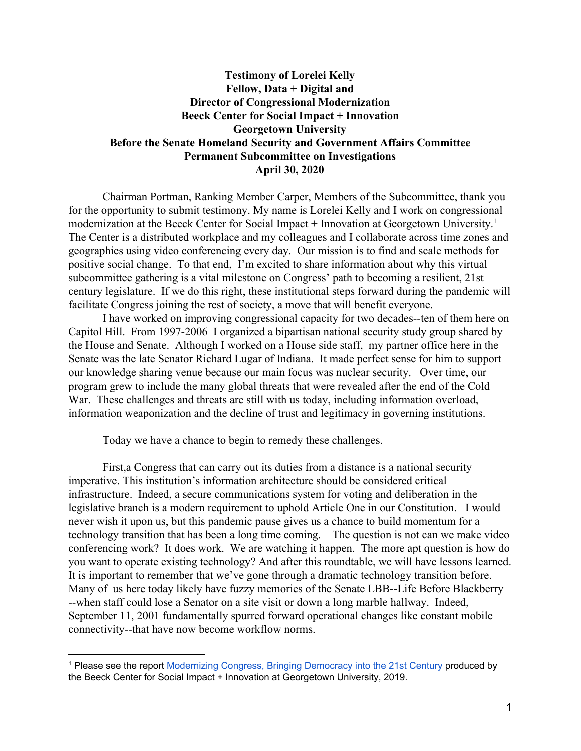## **Testimony of Lorelei Kelly Fellow, Data + Digital and Director of Congressional Modernization Beeck Center for Social Impact + Innovation Georgetown University Before the Senate Homeland Security and Government Affairs Committee Permanent Subcommittee on Investigations April 30, 2020**

Chairman Portman, Ranking Member Carper, Members of the Subcommittee, thank you for the opportunity to submit testimony. My name is Lorelei Kelly and I work on congressional modernization at the Beeck Center for Social Impact + Innovation at Georgetown University.<sup>1</sup> The Center is a distributed workplace and my colleagues and I collaborate across time zones and geographies using video conferencing every day. Our mission is to find and scale methods for positive social change. To that end, I'm excited to share information about why this virtual subcommittee gathering is a vital milestone on Congress' path to becoming a resilient, 21st century legislature. If we do this right, these institutional steps forward during the pandemic will facilitate Congress joining the rest of society, a move that will benefit everyone.

I have worked on improving congressional capacity for two decades--ten of them here on Capitol Hill. From 1997-2006 I organized a bipartisan national security study group shared by the House and Senate. Although I worked on a House side staff, my partner office here in the Senate was the late Senator Richard Lugar of Indiana. It made perfect sense for him to support our knowledge sharing venue because our main focus was nuclear security. Over time, our program grew to include the many global threats that were revealed after the end of the Cold War. These challenges and threats are still with us today, including information overload, information weaponization and the decline of trust and legitimacy in governing institutions.

Today we have a chance to begin to remedy these challenges.

First,a Congress that can carry out its duties from a distance is a national security imperative. This institution's information architecture should be considered critical infrastructure. Indeed, a secure communications system for voting and deliberation in the legislative branch is a modern requirement to uphold Article One in our Constitution. I would never wish it upon us, but this pandemic pause gives us a chance to build momentum for a technology transition that has been a long time coming. The question is not can we make video conferencing work? It does work. We are watching it happen. The more apt question is how do you want to operate existing technology? And after this roundtable, we will have lessons learned. It is important to remember that we've gone through a dramatic technology transition before. Many of us here today likely have fuzzy memories of the Senate LBB--Life Before Blackberry --when staff could lose a Senator on a site visit or down a long marble hallway. Indeed, September 11, 2001 fundamentally spurred forward operational changes like constant mobile connectivity--that have now become workflow norms.

<sup>1</sup> Please see the report [Modernizing](https://beeckcenter.georgetown.edu/wp-content/uploads/2019/06/FINAL-BeecksGtown-ModernizingCongress-V3.pdf) Congress, Bringing Democracy into the 21st Century produced by the Beeck Center for Social Impact + Innovation at Georgetown University, 2019.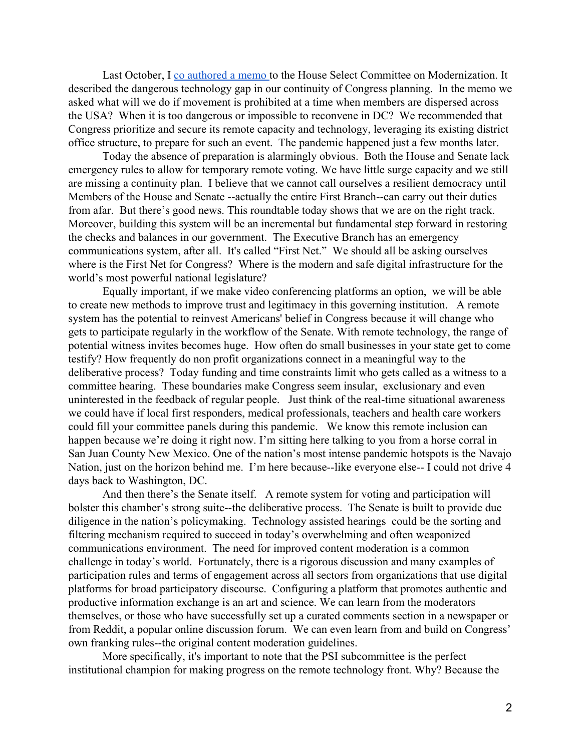Last October, I [co authored a memo t](https://www.legbranch.org/recommendation-to-the-house-select-committee-on-the-modernization-of-congress-to-bolster-remote-and-district-office-technology-for-first-branch-continuity-of-government/)o the House Select Committee on Modernization. It described the dangerous technology gap in our continuity of Congress planning. In the memo we asked what will we do if movement is prohibited at a time when members are dispersed across the USA? When it is too dangerous or impossible to reconvene in DC? We recommended that Congress prioritize and secure its remote capacity and technology, leveraging its existing district office structure, to prepare for such an event.The pandemic happened just a few months later.

Today the absence of preparation is alarmingly obvious. Both the House and Senate lack emergency rules to allow for temporary remote voting. We have little surge capacity and we still are missing a continuity plan. I believe that we cannot call ourselves a resilient democracy until Members of the House and Senate --actually the entire First Branch--can carry out their duties from afar. But there's good news. This roundtable today shows that we are on the right track. Moreover, building this system will be an incremental but fundamental step forward in restoring the checks and balances in our government. The Executive Branch has an emergency communications system, after all. It's called "First Net." We should all be asking ourselves where is the First Net for Congress? Where is the modern and safe digital infrastructure for the world's most powerful national legislature?

Equally important, if we make video conferencing platforms an option, we will be able to create new methods to improve trust and legitimacy in this governing institution. A remote system has the potential to reinvest Americans' belief in Congress because it will change who gets to participate regularly in the workflow of the Senate. With remote technology, the range of potential witness invites becomes huge. How often do small businesses in your state get to come testify? How frequently do non profit organizations connect in a meaningful way to the deliberative process? Today funding and time constraints limit who gets called as a witness to a committee hearing. These boundaries make Congress seem insular, exclusionary and even uninterested in the feedback of regular people. Just think of the real-time situational awareness we could have if local first responders, medical professionals, teachers and health care workers could fill your committee panels during this pandemic. We know this remote inclusion can happen because we're doing it right now. I'm sitting here talking to you from a horse corral in San Juan County New Mexico. One of the nation's most intense pandemic hotspots is the Navajo Nation, just on the horizon behind me. I'm here because--like everyone else-- I could not drive 4 days back to Washington, DC.

And then there's the Senate itself. A remote system for voting and participation will bolster this chamber's strong suite--the deliberative process. The Senate is built to provide due diligence in the nation's policymaking. Technology assisted hearings could be the sorting and filtering mechanism required to succeed in today's overwhelming and often weaponized communications environment. The need for improved content moderation is a common challenge in today's world. Fortunately, there is a rigorous discussion and many examples of participation rules and terms of engagement across all sectors from organizations that use digital platforms for broad participatory discourse. Configuring a platform that promotes authentic and productive information exchange is an art and science. We can learn from the moderators themselves, or those who have successfully set up a curated comments section in a newspaper or from Reddit, a popular online discussion forum. We can even learn from and build on Congress' own franking rules--the original content moderation guidelines.

More specifically, it's important to note that the PSI subcommittee is the perfect institutional champion for making progress on the remote technology front. Why? Because the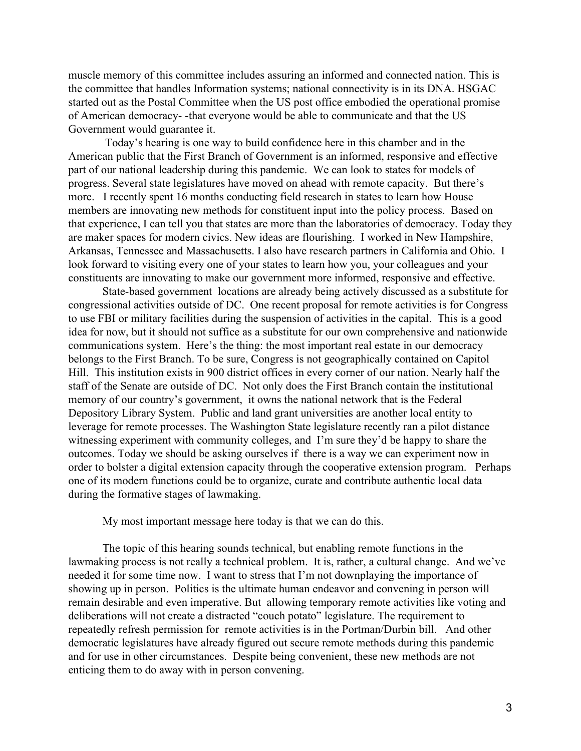muscle memory of this committee includes assuring an informed and connected nation. This is the committee that handles Information systems; national connectivity is in its DNA. HSGAC started out as the Postal Committee when the US post office embodied the operational promise of American democracy- -that everyone would be able to communicate and that the US Government would guarantee it.

 Today's hearing is one way to build confidence here in this chamber and in the American public that the First Branch of Government is an informed, responsive and effective part of our national leadership during this pandemic. We can look to states for models of progress. Several state legislatures have moved on ahead with remote capacity. But there's more. I recently spent 16 months conducting field research in states to learn how House members are innovating new methods for constituent input into the policy process. Based on that experience, I can tell you that states are more than the laboratories of democracy. Today they are maker spaces for modern civics. New ideas are flourishing. I worked in New Hampshire, Arkansas, Tennessee and Massachusetts. I also have research partners in California and Ohio. I look forward to visiting every one of your states to learn how you, your colleagues and your constituents are innovating to make our government more informed, responsive and effective.

State-based government locations are already being actively discussed as a substitute for congressional activities outside of DC. One recent proposal for remote activities is for Congress to use FBI or military facilities during the suspension of activities in the capital. This is a good idea for now, but it should not suffice as a substitute for our own comprehensive and nationwide communications system. Here's the thing: the most important real estate in our democracy belongs to the First Branch. To be sure, Congress is not geographically contained on Capitol Hill. This institution exists in 900 district offices in every corner of our nation. Nearly half the staff of the Senate are outside of DC. Not only does the First Branch contain the institutional memory of our country's government, it owns the national network that is the Federal Depository Library System. Public and land grant universities are another local entity to leverage for remote processes. The Washington State legislature recently ran a pilot distance witnessing experiment with community colleges, and I'm sure they'd be happy to share the outcomes. Today we should be asking ourselves if there is a way we can experiment now in order to bolster a digital extension capacity through the cooperative extension program. Perhaps one of its modern functions could be to organize, curate and contribute authentic local data during the formative stages of lawmaking.

My most important message here today is that we can do this.

The topic of this hearing sounds technical, but enabling remote functions in the lawmaking process is not really a technical problem. It is, rather, a cultural change. And we've needed it for some time now. I want to stress that I'm not downplaying the importance of showing up in person. Politics is the ultimate human endeavor and convening in person will remain desirable and even imperative. But allowing temporary remote activities like voting and deliberations will not create a distracted "couch potato" legislature. The requirement to repeatedly refresh permission for remote activities is in the Portman/Durbin bill. And other democratic legislatures have already figured out secure remote methods during this pandemic and for use in other circumstances. Despite being convenient, these new methods are not enticing them to do away with in person convening.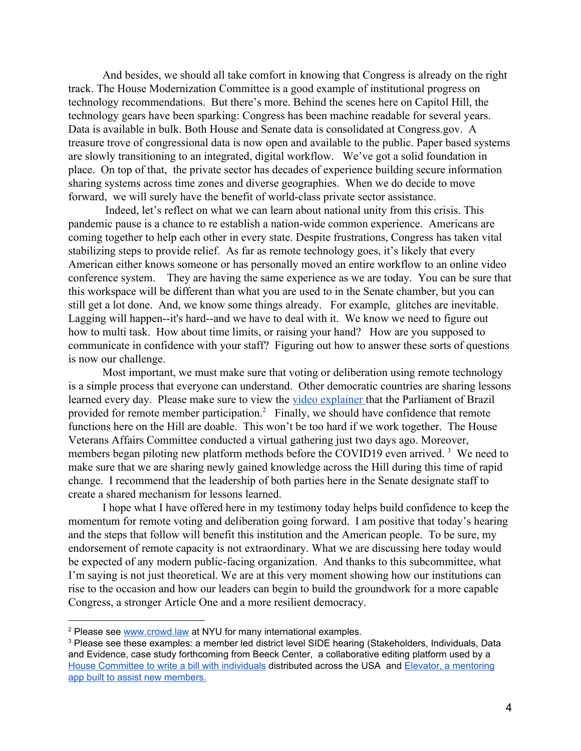And besides, we should all take comfort in knowing that Congress is already on the right track. The House Modernization Committee is a good example of institutional progress on technology recommendations. But there's more. Behind the scenes here on Capitol Hill, the technology gears have been sparking: Congress has been machine readable for several years. Data is available in bulk. Both House and Senate data is consolidated at Congress.gov. A treasure trove of congressional data is now open and available to the public. Paper based systems are slowly transitioning to an integrated, digital workflow. We've got a solid foundation in place. On top of that, the private sector has decades of experience building secure information sharing systems across time zones and diverse geographies. When we do decide to move forward, we will surely have the benefit of world-class private sector assistance.

 Indeed, let's reflect on what we can learn about national unity from this crisis. This pandemic pause is a chance to re establish a nation-wide common experience. Americans are coming together to help each other in every state. Despite frustrations, Congress has taken vital stabilizing steps to provide relief. As far as remote technology goes, it's likely that every American either knows someone or has personally moved an entire workflow to an online video conference system. They are having the same experience as we are today. You can be sure that this workspace will be different than what you are used to in the Senate chamber, but you can still get a lot done. And, we know some things already. For example, glitches are inevitable. Lagging will happen--it's hard--and we have to deal with it. We know we need to figure out how to multi task. How about time limits, or raising your hand? How are you supposed to communicate in confidence with your staff? Figuring out how to answer these sorts of questions is now our challenge.

Most important, we must make sure that voting or deliberation using remote technology is a simple process that everyone can understand. Other democratic countries are sharing lessons learned every day. Please make sure to view the [video explainer t](http://www.senado.leg.br/senado/hotsites/sdr/index_eng.html)hat the Parliament of Brazil provided for remote member participation.<sup>2</sup> Finally, we should have confidence that remote functions here on the Hill are doable. This won't be too hard if we work together. The House Veterans Affairs Committee conducted a virtual gathering just two days ago. Moreover, members began piloting new platform methods before the COVID19 even arrived.<sup>3</sup> We need to make sure that we are sharing newly gained knowledge across the Hill during this time of rapid change. I recommend that the leadership of both parties here in the Senate designate staff to create a shared mechanism for lessons learned.

I hope what I have offered here in my testimony today helps build confidence to keep the momentum for remote voting and deliberation going forward. I am positive that today's hearing and the steps that follow will benefit this institution and the American people. To be sure, my endorsement of remote capacity is not extraordinary. What we are discussing here today would be expected of any modern public-facing organization. And thanks to this subcommittee, what I'm saying is not just theoretical. We are at this very moment showing how our institutions can rise to the occasion and how our leaders can begin to build the groundwork for a more capable Congress, a stronger Article One and a more resilient democracy.

<sup>2</sup> Please see [www.crowd.law](http://www.crowd.law/) at NYU for many international examples.

<sup>&</sup>lt;sup>3</sup> Please see these examples: a member led district level SIDE hearing (Stakeholders, Individuals, Data and Evidence, case study forthcoming from Beeck Center, a collaborative editing platform used by a House [Committee](https://www.popvox.com/us/federal/bills/116/hr5986) to write a bill with individuals distributed across the USA and Elevator, a [mentoring](https://medium.com/g21c/apps-for-congress-assembly-required-25b239df67d4?source=---------6-----------------------) app built to assist new [members.](https://medium.com/g21c/apps-for-congress-assembly-required-25b239df67d4?source=---------6-----------------------)